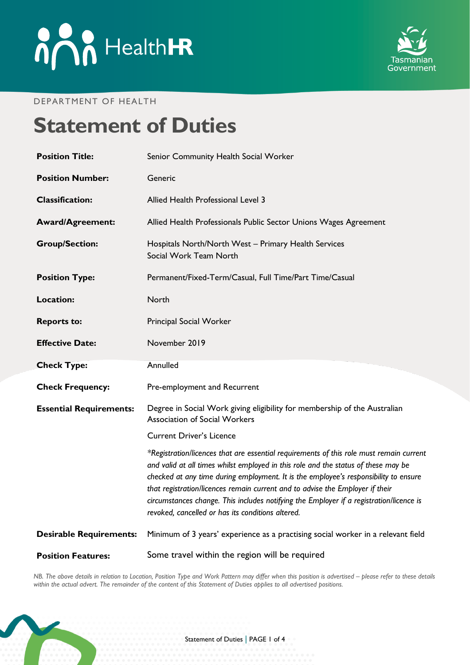

#### DEPARTMENT OF HEALTH

# **Statement of Duties**

| <b>Position Title:</b>         | Senior Community Health Social Worker                                                                                                                                                                                                                                                                                                                                                                                                                                                                  |
|--------------------------------|--------------------------------------------------------------------------------------------------------------------------------------------------------------------------------------------------------------------------------------------------------------------------------------------------------------------------------------------------------------------------------------------------------------------------------------------------------------------------------------------------------|
| <b>Position Number:</b>        | Generic                                                                                                                                                                                                                                                                                                                                                                                                                                                                                                |
| <b>Classification:</b>         | Allied Health Professional Level 3                                                                                                                                                                                                                                                                                                                                                                                                                                                                     |
| <b>Award/Agreement:</b>        | Allied Health Professionals Public Sector Unions Wages Agreement                                                                                                                                                                                                                                                                                                                                                                                                                                       |
| <b>Group/Section:</b>          | Hospitals North/North West - Primary Health Services<br>Social Work Team North                                                                                                                                                                                                                                                                                                                                                                                                                         |
| <b>Position Type:</b>          | Permanent/Fixed-Term/Casual, Full Time/Part Time/Casual                                                                                                                                                                                                                                                                                                                                                                                                                                                |
| <b>Location:</b>               | North                                                                                                                                                                                                                                                                                                                                                                                                                                                                                                  |
| <b>Reports to:</b>             | Principal Social Worker                                                                                                                                                                                                                                                                                                                                                                                                                                                                                |
| <b>Effective Date:</b>         | November 2019                                                                                                                                                                                                                                                                                                                                                                                                                                                                                          |
| <b>Check Type:</b>             | Annulled                                                                                                                                                                                                                                                                                                                                                                                                                                                                                               |
| <b>Check Frequency:</b>        | Pre-employment and Recurrent                                                                                                                                                                                                                                                                                                                                                                                                                                                                           |
| <b>Essential Requirements:</b> | Degree in Social Work giving eligibility for membership of the Australian<br><b>Association of Social Workers</b>                                                                                                                                                                                                                                                                                                                                                                                      |
|                                | <b>Current Driver's Licence</b>                                                                                                                                                                                                                                                                                                                                                                                                                                                                        |
|                                | *Registration/licences that are essential requirements of this role must remain current<br>and valid at all times whilst employed in this role and the status of these may be<br>checked at any time during employment. It is the employee's responsibility to ensure<br>that registration/licences remain current and to advise the Employer if their<br>circumstances change. This includes notifying the Employer if a registration/licence is<br>revoked, cancelled or has its conditions altered. |
| <b>Desirable Requirements:</b> | Minimum of 3 years' experience as a practising social worker in a relevant field                                                                                                                                                                                                                                                                                                                                                                                                                       |
| <b>Position Features:</b>      | Some travel within the region will be required                                                                                                                                                                                                                                                                                                                                                                                                                                                         |

*NB. The above details in relation to Location, Position Type and Work Pattern may differ when this position is advertised - please refer to these details within the actual advert. The remainder of the content of this Statement of Duties applies to all advertised positions.*

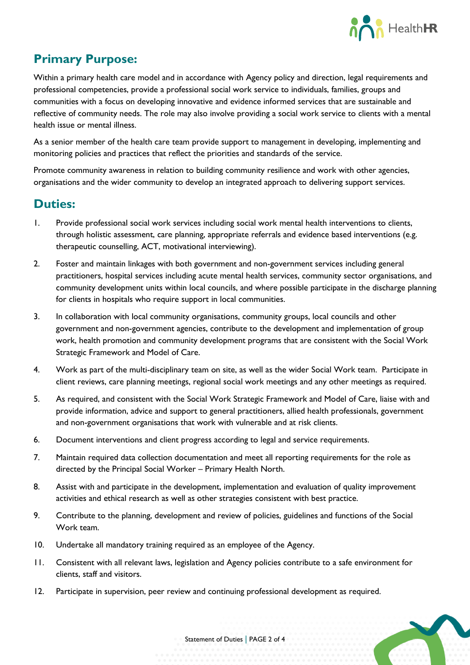

# **Primary Purpose:**

Within a primary health care model and in accordance with Agency policy and direction, legal requirements and professional competencies, provide a professional social work service to individuals, families, groups and communities with a focus on developing innovative and evidence informed services that are sustainable and reflective of community needs. The role may also involve providing a social work service to clients with a mental health issue or mental illness.

As a senior member of the health care team provide support to management in developing, implementing and monitoring policies and practices that reflect the priorities and standards of the service.

Promote community awareness in relation to building community resilience and work with other agencies, organisations and the wider community to develop an integrated approach to delivering support services.

#### **Duties:**

- 1. Provide professional social work services including social work mental health interventions to clients, through holistic assessment, care planning, appropriate referrals and evidence based interventions (e.g. therapeutic counselling, ACT, motivational interviewing).
- 2. Foster and maintain linkages with both government and non-government services including general practitioners, hospital services including acute mental health services, community sector organisations, and community development units within local councils, and where possible participate in the discharge planning for clients in hospitals who require support in local communities.
- 3. In collaboration with local community organisations, community groups, local councils and other government and non-government agencies, contribute to the development and implementation of group work, health promotion and community development programs that are consistent with the Social Work Strategic Framework and Model of Care.
- 4. Work as part of the multi-disciplinary team on site, as well as the wider Social Work team. Participate in client reviews, care planning meetings, regional social work meetings and any other meetings as required.
- 5. As required, and consistent with the Social Work Strategic Framework and Model of Care, liaise with and provide information, advice and support to general practitioners, allied health professionals, government and non-government organisations that work with vulnerable and at risk clients.
- 6. Document interventions and client progress according to legal and service requirements.
- 7. Maintain required data collection documentation and meet all reporting requirements for the role as directed by the Principal Social Worker – Primary Health North.
- 8. Assist with and participate in the development, implementation and evaluation of quality improvement activities and ethical research as well as other strategies consistent with best practice.
- 9. Contribute to the planning, development and review of policies, guidelines and functions of the Social Work team.
- 10. Undertake all mandatory training required as an employee of the Agency.
- 11. Consistent with all relevant laws, legislation and Agency policies contribute to a safe environment for clients, staff and visitors.
- 12. Participate in supervision, peer review and continuing professional development as required.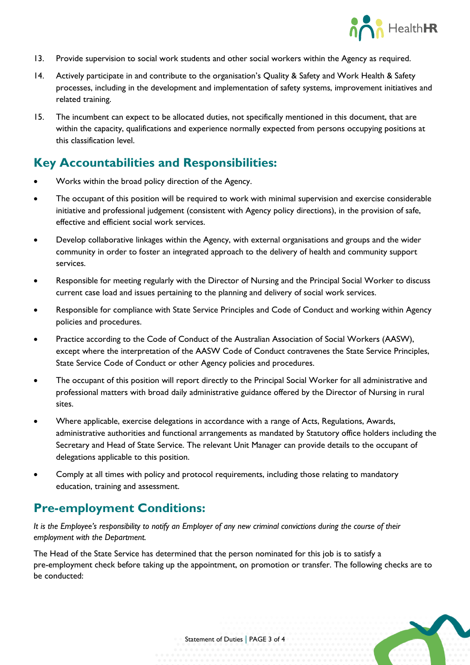

- 13. Provide supervision to social work students and other social workers within the Agency as required.
- 14. Actively participate in and contribute to the organisation's Quality & Safety and Work Health & Safety processes, including in the development and implementation of safety systems, improvement initiatives and related training.
- 15. The incumbent can expect to be allocated duties, not specifically mentioned in this document, that are within the capacity, qualifications and experience normally expected from persons occupying positions at this classification level.

# **Key Accountabilities and Responsibilities:**

- Works within the broad policy direction of the Agency.
- The occupant of this position will be required to work with minimal supervision and exercise considerable initiative and professional judgement (consistent with Agency policy directions), in the provision of safe, effective and efficient social work services.
- Develop collaborative linkages within the Agency, with external organisations and groups and the wider community in order to foster an integrated approach to the delivery of health and community support services.
- Responsible for meeting regularly with the Director of Nursing and the Principal Social Worker to discuss current case load and issues pertaining to the planning and delivery of social work services.
- Responsible for compliance with State Service Principles and Code of Conduct and working within Agency policies and procedures.
- Practice according to the Code of Conduct of the Australian Association of Social Workers (AASW), except where the interpretation of the AASW Code of Conduct contravenes the State Service Principles, State Service Code of Conduct or other Agency policies and procedures.
- The occupant of this position will report directly to the Principal Social Worker for all administrative and professional matters with broad daily administrative guidance offered by the Director of Nursing in rural sites.
- Where applicable, exercise delegations in accordance with a range of Acts, Regulations, Awards, administrative authorities and functional arrangements as mandated by Statutory office holders including the Secretary and Head of State Service. The relevant Unit Manager can provide details to the occupant of delegations applicable to this position.
- Comply at all times with policy and protocol requirements, including those relating to mandatory education, training and assessment.

## **Pre-employment Conditions:**

*It is the Employee's responsibility to notify an Employer of any new criminal convictions during the course of their employment with the Department.*

The Head of the State Service has determined that the person nominated for this job is to satisfy a pre-employment check before taking up the appointment, on promotion or transfer. The following checks are to be conducted: